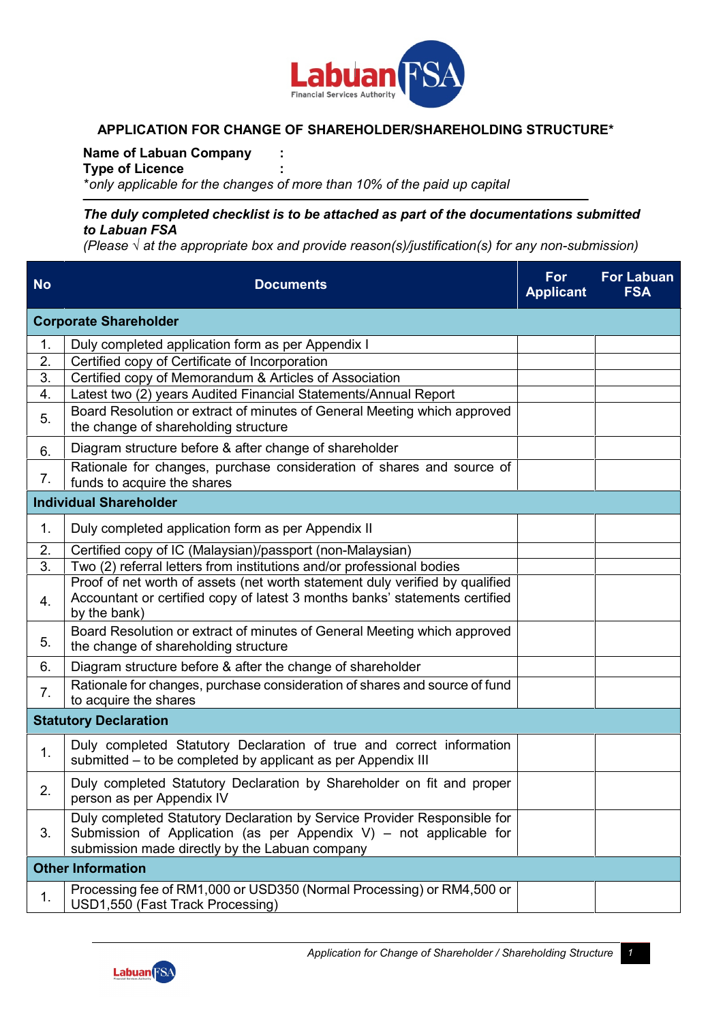

# **APPLICATION FOR CHANGE OF SHAREHOLDER/SHAREHOLDING STRUCTURE\***

**Name of Labuan Company :**

**Type of Licence :**

\*only applicable for the changes of more than 10% of the paid up capital

## *The duly completed checklist is to be attached as part of the documentations submitted to Labuan FSA*

*(Please √ at the appropriate box and provide reason(s)/justification(s) for any non-submission)*

| <b>No</b> | <b>Documents</b>                                                                                                                                                                                 | For<br><b>Applicant</b> | <b>For Labuan</b><br><b>FSA</b> |
|-----------|--------------------------------------------------------------------------------------------------------------------------------------------------------------------------------------------------|-------------------------|---------------------------------|
|           | <b>Corporate Shareholder</b>                                                                                                                                                                     |                         |                                 |
| 1.        | Duly completed application form as per Appendix I                                                                                                                                                |                         |                                 |
| 2.        | Certified copy of Certificate of Incorporation                                                                                                                                                   |                         |                                 |
| 3.        | Certified copy of Memorandum & Articles of Association                                                                                                                                           |                         |                                 |
| 4.        | Latest two (2) years Audited Financial Statements/Annual Report                                                                                                                                  |                         |                                 |
| 5.        | Board Resolution or extract of minutes of General Meeting which approved<br>the change of shareholding structure                                                                                 |                         |                                 |
| 6.        | Diagram structure before & after change of shareholder                                                                                                                                           |                         |                                 |
| 7.        | Rationale for changes, purchase consideration of shares and source of<br>funds to acquire the shares                                                                                             |                         |                                 |
|           | <b>Individual Shareholder</b>                                                                                                                                                                    |                         |                                 |
| 1.        | Duly completed application form as per Appendix II                                                                                                                                               |                         |                                 |
| 2.        | Certified copy of IC (Malaysian)/passport (non-Malaysian)                                                                                                                                        |                         |                                 |
| 3.        | Two (2) referral letters from institutions and/or professional bodies                                                                                                                            |                         |                                 |
| 4.        | Proof of net worth of assets (net worth statement duly verified by qualified<br>Accountant or certified copy of latest 3 months banks' statements certified                                      |                         |                                 |
|           | by the bank)                                                                                                                                                                                     |                         |                                 |
| 5.        | Board Resolution or extract of minutes of General Meeting which approved<br>the change of shareholding structure                                                                                 |                         |                                 |
| 6.        | Diagram structure before & after the change of shareholder                                                                                                                                       |                         |                                 |
| 7.        | Rationale for changes, purchase consideration of shares and source of fund<br>to acquire the shares                                                                                              |                         |                                 |
|           | <b>Statutory Declaration</b>                                                                                                                                                                     |                         |                                 |
| 1.        | Duly completed Statutory Declaration of true and correct information<br>submitted – to be completed by applicant as per Appendix III                                                             |                         |                                 |
| 2.        | Duly completed Statutory Declaration by Shareholder on fit and proper<br>person as per Appendix IV                                                                                               |                         |                                 |
| 3.        | Duly completed Statutory Declaration by Service Provider Responsible for<br>Submission of Application (as per Appendix V) – not applicable for<br>submission made directly by the Labuan company |                         |                                 |
|           | <b>Other Information</b>                                                                                                                                                                         |                         |                                 |
| 1.        | Processing fee of RM1,000 or USD350 (Normal Processing) or RM4,500 or<br>USD1,550 (Fast Track Processing)                                                                                        |                         |                                 |

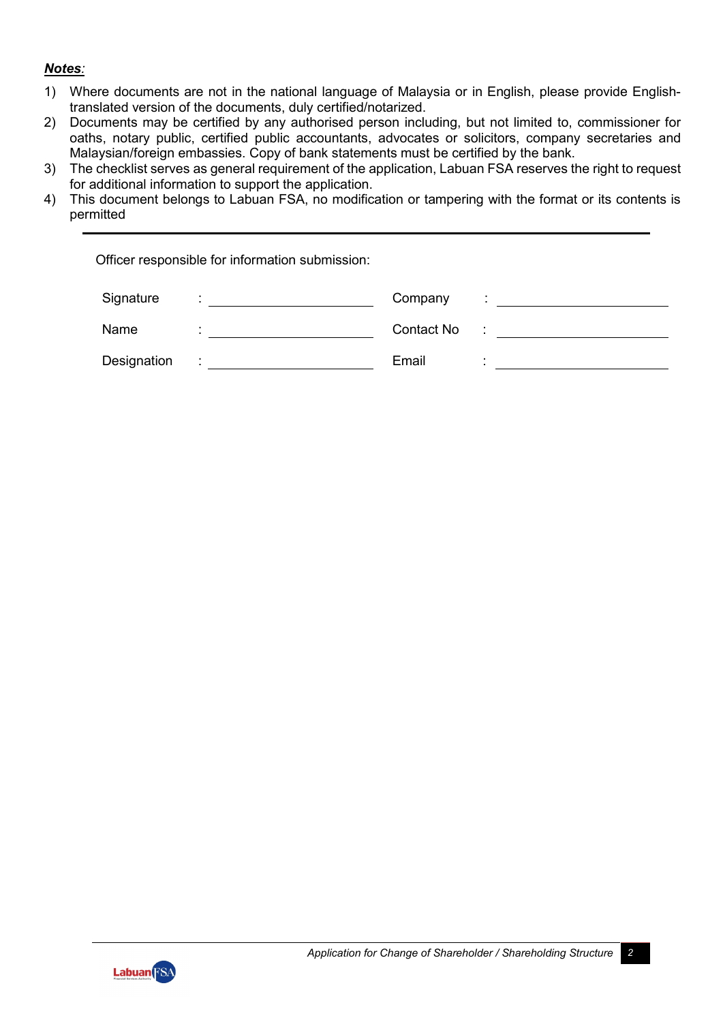# *Notes:*

- 1) Where documents are not in the national language of Malaysia or in English, please provide Englishtranslated version of the documents, duly certified/notarized.
- 2) Documents may be certified by any authorised person including, but not limited to, commissioner for oaths, notary public, certified public accountants, advocates or solicitors, company secretaries and Malaysian/foreign embassies. Copy of bank statements must be certified by the bank.
- 3) The checklist serves as general requirement of the application, Labuan FSA reserves the right to request for additional information to support the application.
- 4) This document belongs to Labuan FSA, no modification or tampering with the format or its contents is permitted

Officer responsible for information submission:

| Signature   | Company    |  |
|-------------|------------|--|
| Name        | Contact No |  |
| Designation | Email      |  |

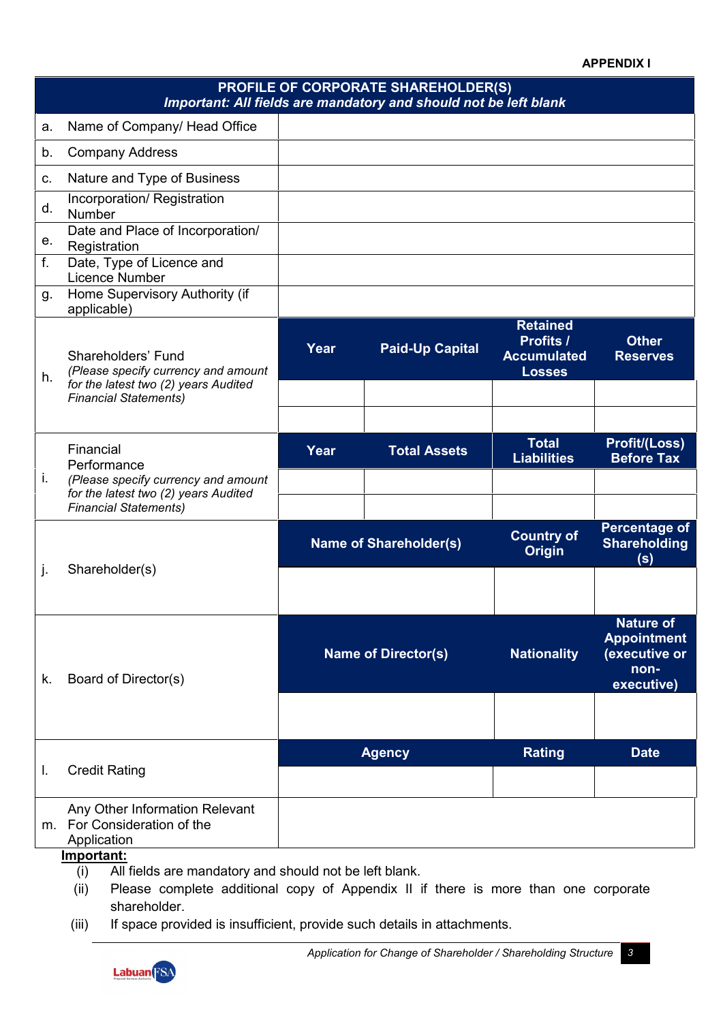#### **APPENDIX I**

| <b>PROFILE OF CORPORATE SHAREHOLDER(S)</b><br>Important: All fields are mandatory and should not be left blank |                                                                                                                                   |                            |                               |                                                                     |                                                                               |
|----------------------------------------------------------------------------------------------------------------|-----------------------------------------------------------------------------------------------------------------------------------|----------------------------|-------------------------------|---------------------------------------------------------------------|-------------------------------------------------------------------------------|
| a.                                                                                                             | Name of Company/ Head Office                                                                                                      |                            |                               |                                                                     |                                                                               |
| b.                                                                                                             | <b>Company Address</b>                                                                                                            |                            |                               |                                                                     |                                                                               |
| C.                                                                                                             | Nature and Type of Business                                                                                                       |                            |                               |                                                                     |                                                                               |
| d.                                                                                                             | Incorporation/ Registration<br>Number                                                                                             |                            |                               |                                                                     |                                                                               |
| е.                                                                                                             | Date and Place of Incorporation/<br>Registration                                                                                  |                            |                               |                                                                     |                                                                               |
| f.                                                                                                             | Date, Type of Licence and<br>Licence Number                                                                                       |                            |                               |                                                                     |                                                                               |
| g.                                                                                                             | Home Supervisory Authority (if<br>applicable)                                                                                     |                            |                               |                                                                     |                                                                               |
| h.                                                                                                             | Shareholders' Fund<br>(Please specify currency and amount<br>for the latest two (2) years Audited<br><b>Financial Statements)</b> | Year                       | <b>Paid-Up Capital</b>        | <b>Retained</b><br>Profits /<br><b>Accumulated</b><br><b>Losses</b> | <b>Other</b><br><b>Reserves</b>                                               |
|                                                                                                                |                                                                                                                                   |                            |                               |                                                                     |                                                                               |
|                                                                                                                | Financial<br>Performance                                                                                                          | Year                       | <b>Total Assets</b>           | <b>Total</b><br><b>Liabilities</b>                                  | <b>Profit/(Loss)</b><br><b>Before Tax</b>                                     |
| i.                                                                                                             | (Please specify currency and amount<br>for the latest two (2) years Audited<br><b>Financial Statements)</b>                       |                            |                               |                                                                     |                                                                               |
|                                                                                                                |                                                                                                                                   |                            | <b>Name of Shareholder(s)</b> | <b>Country of</b><br><b>Origin</b>                                  | <b>Percentage of</b><br><b>Shareholding</b><br>(s)                            |
| j.                                                                                                             | Shareholder(s)                                                                                                                    |                            |                               |                                                                     |                                                                               |
| k.                                                                                                             | Board of Director(s)                                                                                                              | <b>Name of Director(s)</b> |                               | <b>Nationality</b>                                                  | <b>Nature of</b><br><b>Appointment</b><br>(executive or<br>non-<br>executive) |
|                                                                                                                |                                                                                                                                   |                            |                               |                                                                     |                                                                               |
| I.                                                                                                             | <b>Credit Rating</b>                                                                                                              | <b>Agency</b>              |                               | <b>Rating</b>                                                       | <b>Date</b>                                                                   |
|                                                                                                                | Any Other Information Relevant<br>m. For Consideration of the<br>Application                                                      |                            |                               |                                                                     |                                                                               |

- **Important:**
	- (i) All fields are mandatory and should not be left blank.
	- (ii) Please complete additional copy of Appendix II if there is more than one corporate shareholder.
- (iii) If space provided is insufficient, provide such details in attachments.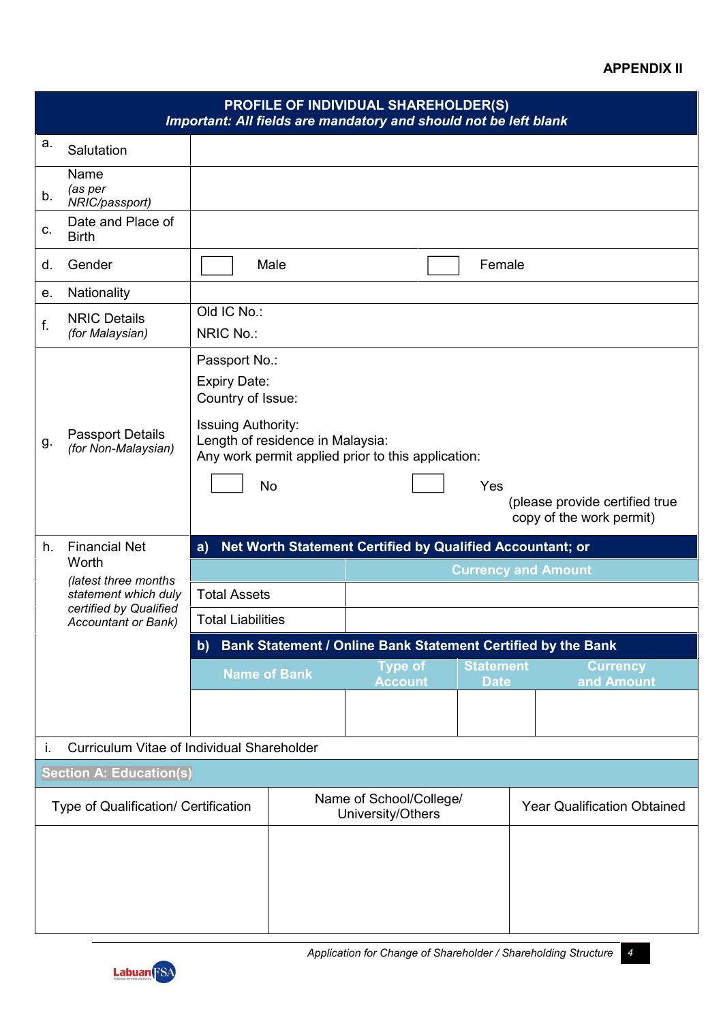## **APPENDIX II**

|                                      |                                                                                                                |                                                                                                                     |           | <b>PROFILE OF INDIVIDUAL SHAREHOLDER(S)</b><br>Important: All fields are mandatory and should not be left blank |  |             |                                                            |
|--------------------------------------|----------------------------------------------------------------------------------------------------------------|---------------------------------------------------------------------------------------------------------------------|-----------|-----------------------------------------------------------------------------------------------------------------|--|-------------|------------------------------------------------------------|
| a.                                   | Salutation                                                                                                     |                                                                                                                     |           |                                                                                                                 |  |             |                                                            |
| b.                                   | Name<br>(as per<br>NRIC/passport)                                                                              |                                                                                                                     |           |                                                                                                                 |  |             |                                                            |
| $C_{-}$                              | Date and Place of<br><b>Birth</b>                                                                              |                                                                                                                     |           |                                                                                                                 |  |             |                                                            |
| d.                                   | Gender                                                                                                         |                                                                                                                     | Male      |                                                                                                                 |  | Female      |                                                            |
| е.                                   | Nationality                                                                                                    |                                                                                                                     |           |                                                                                                                 |  |             |                                                            |
| f.                                   | <b>NRIC Details</b><br>(for Malaysian)                                                                         | Old IC No.:<br>NRIC No.:                                                                                            |           |                                                                                                                 |  |             |                                                            |
|                                      |                                                                                                                | Passport No.:<br><b>Expiry Date:</b><br>Country of Issue:                                                           |           |                                                                                                                 |  |             |                                                            |
| g.                                   | <b>Passport Details</b><br>(for Non-Malaysian)                                                                 | <b>Issuing Authority:</b><br>Length of residence in Malaysia:<br>Any work permit applied prior to this application: |           |                                                                                                                 |  |             |                                                            |
|                                      |                                                                                                                |                                                                                                                     | <b>No</b> |                                                                                                                 |  | Yes         | (please provide certified true<br>copy of the work permit) |
| h.                                   | <b>Financial Net</b>                                                                                           | a)                                                                                                                  |           | Net Worth Statement Certified by Qualified Accountant; or                                                       |  |             |                                                            |
|                                      | Worth<br>(latest three months)<br>statement which duly<br>certified by Qualified<br><b>Accountant or Bank)</b> |                                                                                                                     |           |                                                                                                                 |  |             | <b>Currency and Amount</b>                                 |
|                                      |                                                                                                                | <b>Total Assets</b>                                                                                                 |           |                                                                                                                 |  |             |                                                            |
|                                      |                                                                                                                | <b>Total Liabilities</b>                                                                                            |           |                                                                                                                 |  |             |                                                            |
|                                      | Bank Statement / Online Bank Statement Certified by the Bank<br>b)<br><b>Statement</b>                         |                                                                                                                     |           |                                                                                                                 |  |             | <b>Currency</b>                                            |
|                                      |                                                                                                                | <b>Name of Bank</b>                                                                                                 |           | <b>Type of</b><br><b>Account</b>                                                                                |  | <b>Date</b> | and Amount                                                 |
|                                      |                                                                                                                |                                                                                                                     |           |                                                                                                                 |  |             |                                                            |
| İ.                                   | Curriculum Vitae of Individual Shareholder                                                                     |                                                                                                                     |           |                                                                                                                 |  |             |                                                            |
|                                      | <b>Section A: Education(s)</b>                                                                                 |                                                                                                                     |           |                                                                                                                 |  |             |                                                            |
| Type of Qualification/ Certification |                                                                                                                |                                                                                                                     |           | Name of School/College/<br>University/Others                                                                    |  |             | <b>Year Qualification Obtained</b>                         |
|                                      |                                                                                                                |                                                                                                                     |           |                                                                                                                 |  |             |                                                            |

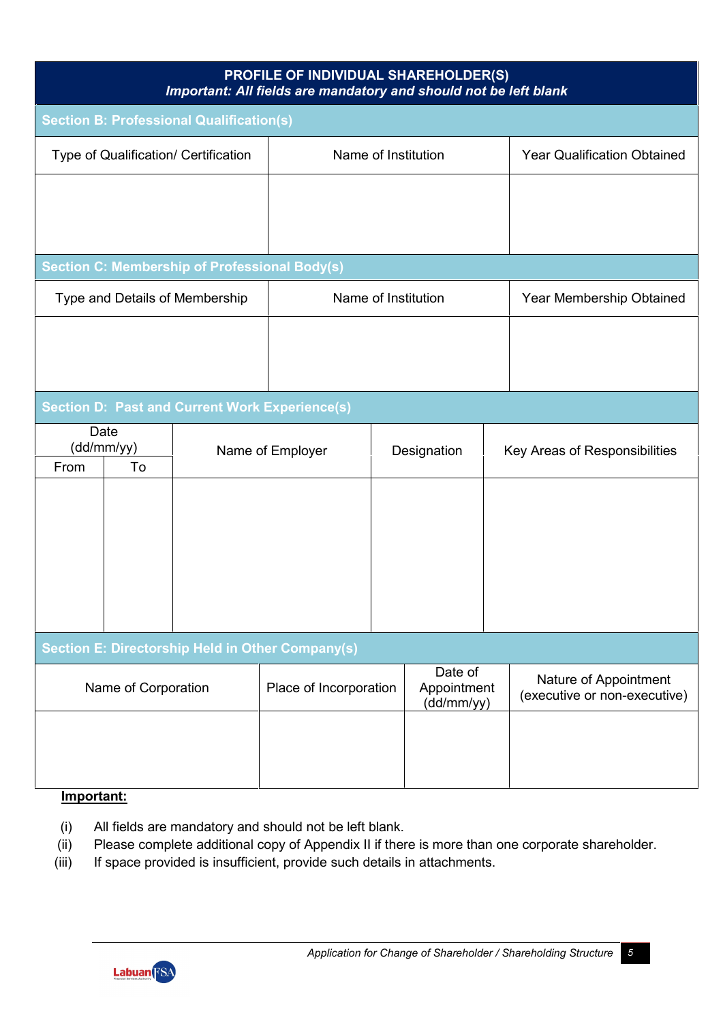| <b>PROFILE OF INDIVIDUAL SHAREHOLDER(S)</b><br>Important: All fields are mandatory and should not be left blank |                     |                                                       |                        |                               |                                      |                                    |                                                       |
|-----------------------------------------------------------------------------------------------------------------|---------------------|-------------------------------------------------------|------------------------|-------------------------------|--------------------------------------|------------------------------------|-------------------------------------------------------|
| <b>Section B: Professional Qualification(s)</b>                                                                 |                     |                                                       |                        |                               |                                      |                                    |                                                       |
|                                                                                                                 |                     | Type of Qualification/ Certification                  | Name of Institution    |                               |                                      | <b>Year Qualification Obtained</b> |                                                       |
|                                                                                                                 |                     |                                                       |                        |                               |                                      |                                    |                                                       |
|                                                                                                                 |                     |                                                       |                        |                               |                                      |                                    |                                                       |
|                                                                                                                 |                     | <b>Section C: Membership of Professional Body(s)</b>  |                        |                               |                                      |                                    |                                                       |
|                                                                                                                 |                     | Type and Details of Membership                        |                        |                               | Name of Institution                  |                                    | Year Membership Obtained                              |
|                                                                                                                 |                     |                                                       |                        |                               |                                      |                                    |                                                       |
|                                                                                                                 |                     |                                                       |                        |                               |                                      |                                    |                                                       |
|                                                                                                                 |                     | <b>Section D: Past and Current Work Experience(s)</b> |                        |                               |                                      |                                    |                                                       |
| Date<br>(dd/mm/yy)                                                                                              |                     | Name of Employer<br>Designation                       |                        | Key Areas of Responsibilities |                                      |                                    |                                                       |
| From                                                                                                            | To                  |                                                       |                        |                               |                                      |                                    |                                                       |
|                                                                                                                 |                     |                                                       |                        |                               |                                      |                                    |                                                       |
|                                                                                                                 |                     |                                                       |                        |                               |                                      |                                    |                                                       |
|                                                                                                                 |                     |                                                       |                        |                               |                                      |                                    |                                                       |
|                                                                                                                 |                     |                                                       |                        |                               |                                      |                                    |                                                       |
| Section E: Directorship Held in Other Company(s)                                                                |                     |                                                       |                        |                               |                                      |                                    |                                                       |
|                                                                                                                 | Name of Corporation |                                                       | Place of Incorporation |                               | Date of<br>Appointment<br>(dd/mm/yy) |                                    | Nature of Appointment<br>(executive or non-executive) |
|                                                                                                                 |                     |                                                       |                        |                               |                                      |                                    |                                                       |
|                                                                                                                 |                     |                                                       |                        |                               |                                      |                                    |                                                       |
|                                                                                                                 |                     |                                                       |                        |                               |                                      |                                    |                                                       |

# **Important:**

- (i) All fields are mandatory and should not be left blank.
- (ii) Please complete additional copy of Appendix II if there is more than one corporate shareholder.
- (iii) If space provided is insufficient, provide such details in attachments.

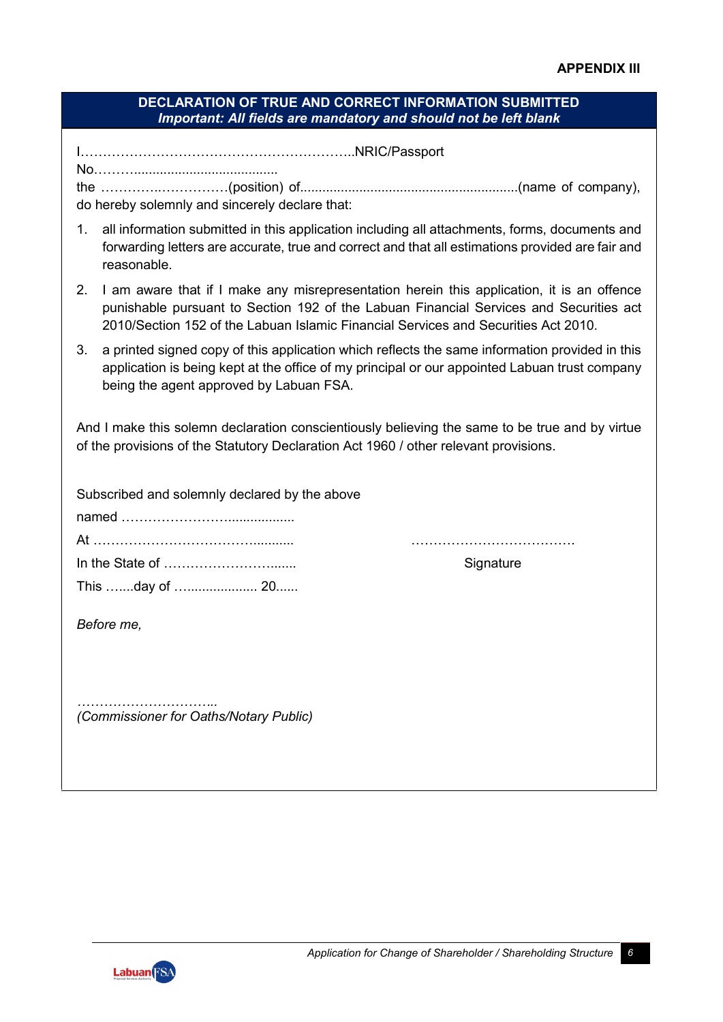## **DECLARATION OF TRUE AND CORRECT INFORMATION SUBMITTED** *Important: All fields are mandatory and should not be left blank*

I……………………………………………………..NRIC/Passport

No………....................................... the …………..……………(position) of...........................................................(name of company), do hereby solemnly and sincerely declare that:

- 1. all information submitted in this application including all attachments, forms, documents and forwarding letters are accurate, true and correct and that all estimations provided are fair and reasonable.
- 2. I am aware that if I make any misrepresentation herein this application, it is an offence punishable pursuant to Section 192 of the Labuan Financial Services and Securities act 2010/Section 152 of the Labuan Islamic Financial Services and Securities Act 2010.
- 3. a printed signed copy of this application which reflects the same information provided in this application is being kept at the office of my principal or our appointed Labuan trust company being the agent approved by Labuan FSA.

And I make this solemn declaration conscientiously believing the same to be true and by virtue of the provisions of the Statutory Declaration Act 1960 / other relevant provisions.

| Subscribed and solemnly declared by the above |           |
|-----------------------------------------------|-----------|
|                                               |           |
|                                               | Signature |
| This day of  20                               |           |
| Before me,                                    |           |
| (Commissioner for Oaths/Notary Public)        |           |

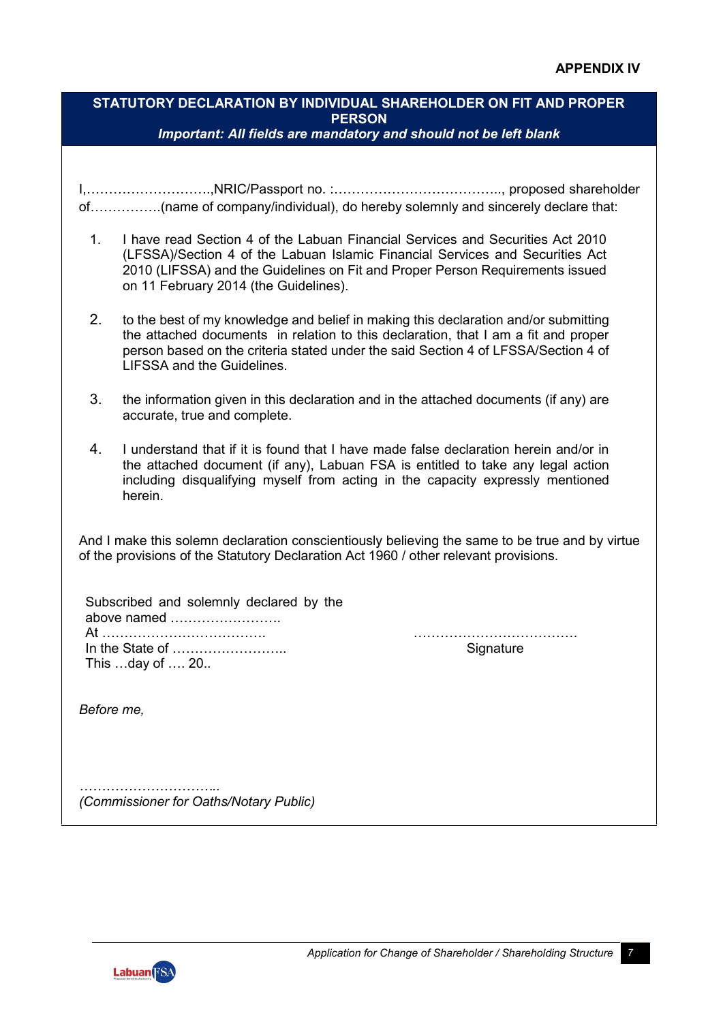## **STATUTORY DECLARATION BY INDIVIDUAL SHAREHOLDER ON FIT AND PROPER PERSON** *Important: All fields are mandatory and should not be left blank*

I,……………………….,NRIC/Passport no. :……………………………….., proposed shareholder of…………….(name of company/individual), do hereby solemnly and sincerely declare that:

- 1. I have read Section 4 of the Labuan Financial Services and Securities Act 2010 (LFSSA)/Section 4 of the Labuan Islamic Financial Services and Securities Act 2010 (LIFSSA) and the Guidelines on Fit and Proper Person Requirements issued on 11 February 2014 (the Guidelines).
- 2. to the best of my knowledge and belief in making this declaration and/or submitting the attached documents in relation to this declaration, that I am a fit and proper person based on the criteria stated under the said Section 4 of LFSSA/Section 4 of LIFSSA and the Guidelines.
- 3. the information given in this declaration and in the attached documents (if any) are accurate, true and complete.
- 4. I understand that if it is found that I have made false declaration herein and/or in the attached document (if any), Labuan FSA is entitled to take any legal action including disqualifying myself from acting in the capacity expressly mentioned herein.

And I make this solemn declaration conscientiously believing the same to be true and by virtue of the provisions of the Statutory Declaration Act 1960 / other relevant provisions.

Subscribed and solemnly declared by the above named ……………………. At ………………………………. ………………………………. In the State of …………………….. Signature This …day of …. 20..

*Before me,*

*………………………….. (Commissioner for Oaths/Notary Public)*